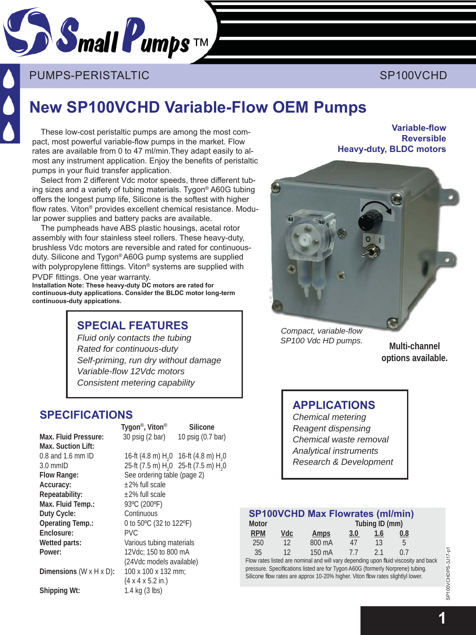

PUMPS-PERISTALTIC ACCORDING TO THE SP100VCHD

# **New SP100VCHD Variable-Flow OEM Pumps**

These low-cost peristaltic pumps are among the most compact, most powerful variable-flow pumps in the market. Flow rates are available from 0 to 47 ml/min.They adapt easily to almost any instrument application. Enjoy the benefits of peristaltic pumps in your fluid transfer application.

Select from 2 different Vdc motor speeds, three different tubing sizes and a variety of tubing materials. Tygon® A60G tubing offers the longest pump life, Silicone is the softest with higher flow rates. Viton<sup>®</sup> provides excellent chemical resistance. Modular power supplies and battery packs are available.

The pumpheads have ABS plastic housings, acetal rotor assembly with four stainless steel rollers. These heavy-duty, brushless Vdc motors are reversible and rated for continuousduty. Silicone and Tygon® A60G pump systems are supplied with polypropylene fittings. Viton<sup>®</sup> systems are supplied with PVDF fittings. One year warranty.

**Installation Note: These heavy-duty DC motors are rated for** continuous-duty applications. Consider the BLDC motor long-term **continuous-duty appications.**

# **SPE CIAL FEATURES**

*Fluid only contacts the tubing Rated for continuous-duty Self-priming, run dry without damage Variable-fl ow 12Vdc motors Consistent metering capability*

# **SPECIFICATIONS**

**Max. Fluid Pressure:** 30 psig (2 bar) 10 psig (0.7 bar) **Max. Suction Lift:**   $0.8$  and 1.6 mm ID  $3.0$  mmID **Accuracy:**  $\pm 2\%$  full scale **Repeatability:** ±2% full scale **Max. Fluid Temp.:** 93°C (200°F) **Duty Cycle:** Continuous **Operating Temp.:** 0 to 50ºC (32 to 122ºF) **Enclosure:** PVC **Wetted parts:** Various tubing materials **Power:** 12Vdc; 150 to 800 mA

0 16-ft (4.8 m)  $H_2$ 0 3.0 mmID 25-ft (7.5 m)  $H_2$ 0 25-ft (7.5 m)  $H_2$ 0 Flow Range: See ordering table (page 2) (24Vdc models available) **Dimensions** (W x H x D)**:** 100 x 100 x 132 mm; (4 x 4 x 5.2 in.) **Shipping Wt:** 1.4 kg (3 lbs)

**Tygon**®**, Viton**® **Silicone**

**Variable-flow Reversible Heavy-duty, BLDC motors**



*Compact, variable-fl ow SP100 Vdc HD pumps.*

**Multi-channel options available.**

### **APPLICATIONS**

*Chemical metering Reagent dispensing Chemical waste removal Analytical instruments Research & Development*

#### **SP100VCHD Max Flowrates (ml/min)**

| Motor      | Tubing ID (mm) |        |     |     |     |  |
|------------|----------------|--------|-----|-----|-----|--|
| <b>RPM</b> | Vdc            | Amps   | 3.0 | 1.6 | 0.8 |  |
| 250        | 12             | 800 mA | 47  | 13  | b   |  |
| 35         | 12             | 150 mA | 77  | 21  | ()  |  |

Flow rates listed are nominal and will vary depending upon fluid viscosity and back pressure. Specifications listed are for Tygon A60G (formerly Norprene) tubing. Silicone flow rates are approx 10-20% higher. Viton flow rates slightlyl lower.